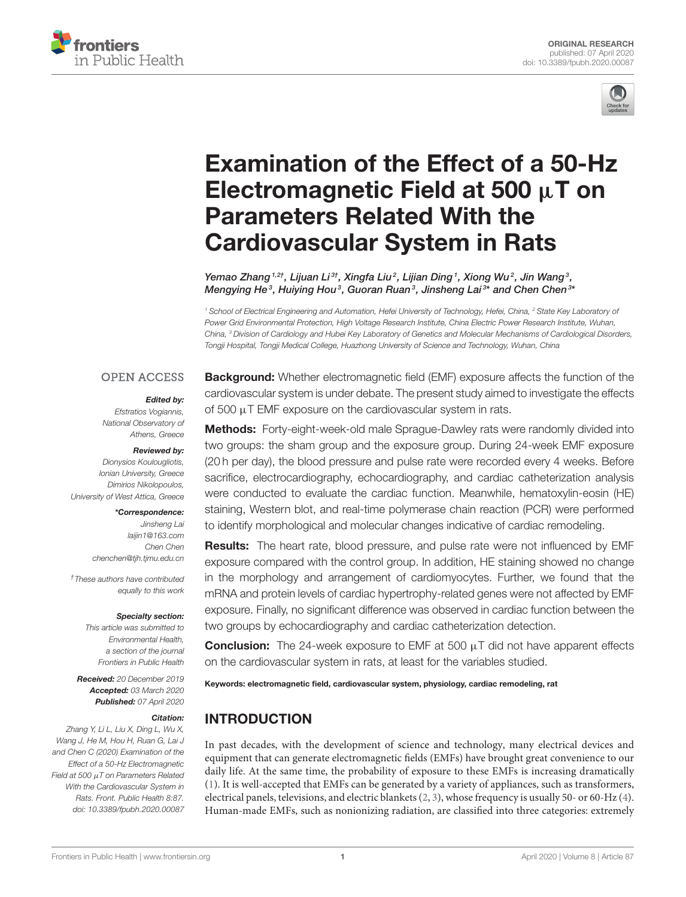



# [Examination of the Effect of a 50-Hz](https://www.frontiersin.org/articles/10.3389/fpubh.2020.00087/full) Electromagnetic Field at 500  $\mu$ T on Parameters Related With the Cardiovascular System in Rats

[Yemao Zhang](http://loop.frontiersin.org/people/874575/overview) <sup>1,2†</sup>, Lijuan Li<sup>3†</sup>, Xingfa Liu<sup>2</sup>, [Lijian Ding](http://loop.frontiersin.org/people/923227/overview) <sup>1</sup>, Xiong Wu<sup>2</sup>, Jin Wang <sup>3</sup>, Mengying He<sup>3</sup>, Huiying Hou<sup>3</sup>, [Guoran Ruan](http://loop.frontiersin.org/people/506325/overview)<sup>3</sup>, [Jinsheng Lai](http://loop.frontiersin.org/people/757412/overview)<sup>3\*</sup> and [Chen Chen](http://loop.frontiersin.org/people/545465/overview)<sup>3\*</sup>

*<sup>1</sup> School of Electrical Engineering and Automation, Hefei University of Technology, Hefei, China, <sup>2</sup> State Key Laboratory of Power Grid Environmental Protection, High Voltage Research Institute, China Electric Power Research Institute, Wuhan, China, <sup>3</sup> Division of Cardiology and Hubei Key Laboratory of Genetics and Molecular Mechanisms of Cardiological Disorders, Tongji Hospital, Tongji Medical College, Huazhong University of Science and Technology, Wuhan, China*

#### **OPEN ACCESS**

#### Edited by:

*Efstratios Vogiannis, National Observatory of Athens, Greece*

#### Reviewed by:

*Dionysios Koulougliotis, Ionian University, Greece Dimirios Nikolopoulos, University of West Attica, Greece*

#### \*Correspondence:

*Jinsheng Lai [laijin1@163.com](mailto:laijin1@163.com) Chen Chen [chenchen@tjh.tjmu.edu.cn](mailto:chenchen@tjh.tjmu.edu.cn)*

*†These authors have contributed equally to this work*

#### Specialty section:

*This article was submitted to Environmental Health, a section of the journal Frontiers in Public Health*

Received: *20 December 2019* Accepted: *03 March 2020* Published: *07 April 2020*

#### Citation:

*Zhang Y, Li L, Liu X, Ding L, Wu X, Wang J, He M, Hou H, Ruan G, Lai J and Chen C (2020) Examination of the Effect of a 50-Hz Electromagnetic Field at 500* µ*T on Parameters Related With the Cardiovascular System in Rats. Front. Public Health 8:87. doi: [10.3389/fpubh.2020.00087](https://doi.org/10.3389/fpubh.2020.00087)*

Background: Whether electromagnetic field (EMF) exposure affects the function of the cardiovascular system is under debate. The present study aimed to investigate the effects of 500  $\mu$ T EMF exposure on the cardiovascular system in rats.

Methods: Forty-eight-week-old male Sprague-Dawley rats were randomly divided into two groups: the sham group and the exposure group. During 24-week EMF exposure (20 h per day), the blood pressure and pulse rate were recorded every 4 weeks. Before sacrifice, electrocardiography, echocardiography, and cardiac catheterization analysis were conducted to evaluate the cardiac function. Meanwhile, hematoxylin-eosin (HE) staining, Western blot, and real-time polymerase chain reaction (PCR) were performed to identify morphological and molecular changes indicative of cardiac remodeling.

Results: The heart rate, blood pressure, and pulse rate were not influenced by EMF exposure compared with the control group. In addition, HE staining showed no change in the morphology and arrangement of cardiomyocytes. Further, we found that the mRNA and protein levels of cardiac hypertrophy-related genes were not affected by EMF exposure. Finally, no significant difference was observed in cardiac function between the two groups by echocardiography and cardiac catheterization detection.

**Conclusion:** The 24-week exposure to EMF at 500  $\mu$ T did not have apparent effects on the cardiovascular system in rats, at least for the variables studied.

Keywords: electromagnetic field, cardiovascular system, physiology, cardiac remodeling, rat

### INTRODUCTION

In past decades, with the development of science and technology, many electrical devices and equipment that can generate electromagnetic fields (EMFs) have brought great convenience to our daily life. At the same time, the probability of exposure to these EMFs is increasing dramatically [\(1\)](#page-7-0). It is well-accepted that EMFs can be generated by a variety of appliances, such as transformers, electrical panels, televisions, and electric blankets [\(2,](#page-7-1) [3\)](#page-7-2), whose frequency is usually 50- or 60-Hz [\(4\)](#page-7-3). Human-made EMFs, such as nonionizing radiation, are classified into three categories: extremely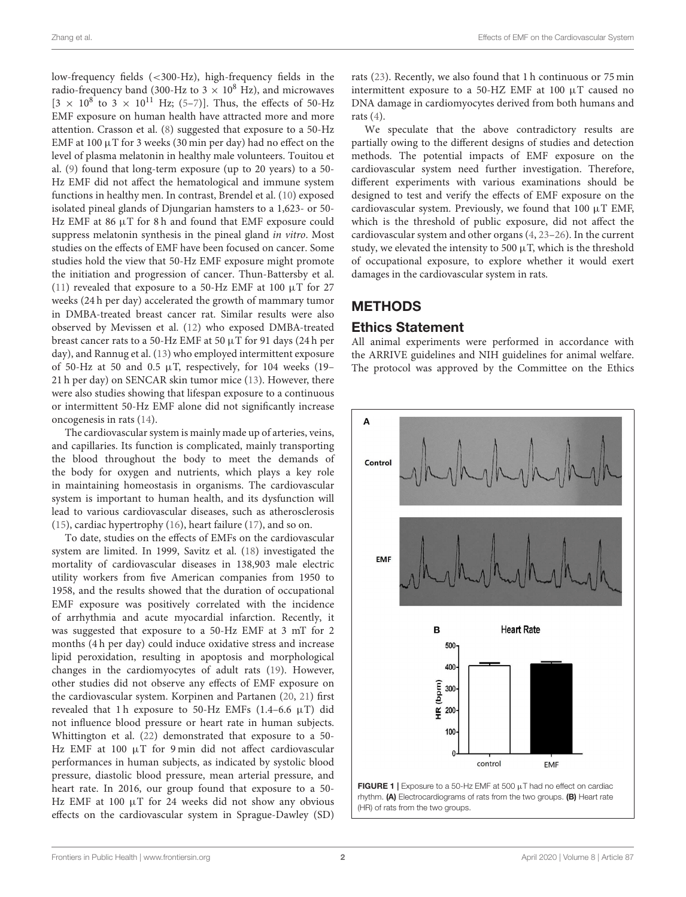low-frequency fields (<300-Hz), high-frequency fields in the radio-frequency band (300-Hz to  $3 \times 10^8$  Hz), and microwaves  $[3 \times 10^8]$  to  $3 \times 10^{11}$  Hz; [\(5](#page-7-4)-7)]. Thus, the effects of 50-Hz EMF exposure on human health have attracted more and more attention. Crasson et al. [\(8\)](#page-7-6) suggested that exposure to a 50-Hz EMF at  $100 \mu$ T for 3 weeks (30 min per day) had no effect on the level of plasma melatonin in healthy male volunteers. Touitou et al. [\(9\)](#page-7-7) found that long-term exposure (up to 20 years) to a 50- Hz EMF did not affect the hematological and immune system functions in healthy men. In contrast, Brendel et al. [\(10\)](#page-7-8) exposed isolated pineal glands of Djungarian hamsters to a 1,623- or 50- Hz EMF at 86  $\mu$ T for 8 h and found that EMF exposure could suppress melatonin synthesis in the pineal gland in vitro. Most studies on the effects of EMF have been focused on cancer. Some studies hold the view that 50-Hz EMF exposure might promote the initiation and progression of cancer. Thun-Battersby et al. [\(11\)](#page-7-9) revealed that exposure to a 50-Hz EMF at 100  $\mu$ T for 27 weeks (24 h per day) accelerated the growth of mammary tumor in DMBA-treated breast cancer rat. Similar results were also observed by Mevissen et al. [\(12\)](#page-7-10) who exposed DMBA-treated breast cancer rats to a 50-Hz EMF at 50 µT for 91 days (24 h per day), and Rannug et al. [\(13\)](#page-8-0) who employed intermittent exposure of 50-Hz at 50 and 0.5  $\mu$ T, respectively, for 104 weeks (19– 21 h per day) on SENCAR skin tumor mice [\(13\)](#page-8-0). However, there were also studies showing that lifespan exposure to a continuous or intermittent 50-Hz EMF alone did not significantly increase oncogenesis in rats [\(14\)](#page-8-1).

The cardiovascular system is mainly made up of arteries, veins, and capillaries. Its function is complicated, mainly transporting the blood throughout the body to meet the demands of the body for oxygen and nutrients, which plays a key role in maintaining homeostasis in organisms. The cardiovascular system is important to human health, and its dysfunction will lead to various cardiovascular diseases, such as atherosclerosis [\(15\)](#page-8-2), cardiac hypertrophy [\(16\)](#page-8-3), heart failure [\(17\)](#page-8-4), and so on.

To date, studies on the effects of EMFs on the cardiovascular system are limited. In 1999, Savitz et al. [\(18\)](#page-8-5) investigated the mortality of cardiovascular diseases in 138,903 male electric utility workers from five American companies from 1950 to 1958, and the results showed that the duration of occupational EMF exposure was positively correlated with the incidence of arrhythmia and acute myocardial infarction. Recently, it was suggested that exposure to a 50-Hz EMF at 3 mT for 2 months (4 h per day) could induce oxidative stress and increase lipid peroxidation, resulting in apoptosis and morphological changes in the cardiomyocytes of adult rats [\(19\)](#page-8-6). However, other studies did not observe any effects of EMF exposure on the cardiovascular system. Korpinen and Partanen [\(20,](#page-8-7) [21\)](#page-8-8) first revealed that 1 h exposure to 50-Hz EMFs (1.4-6.6  $\mu$ T) did not influence blood pressure or heart rate in human subjects. Whittington et al. [\(22\)](#page-8-9) demonstrated that exposure to a 50- Hz EMF at 100  $\mu$ T for 9 min did not affect cardiovascular performances in human subjects, as indicated by systolic blood pressure, diastolic blood pressure, mean arterial pressure, and heart rate. In 2016, our group found that exposure to a 50- Hz EMF at 100 µT for 24 weeks did not show any obvious effects on the cardiovascular system in Sprague-Dawley (SD)

rats [\(23\)](#page-8-10). Recently, we also found that 1 h continuous or 75 min intermittent exposure to a 50-HZ EMF at 100 µT caused no DNA damage in cardiomyocytes derived from both humans and rats [\(4\)](#page-7-3).

We speculate that the above contradictory results are partially owing to the different designs of studies and detection methods. The potential impacts of EMF exposure on the cardiovascular system need further investigation. Therefore, different experiments with various examinations should be designed to test and verify the effects of EMF exposure on the cardiovascular system. Previously, we found that  $100 \mu T$  EMF, which is the threshold of public exposure, did not affect the cardiovascular system and other organs [\(4,](#page-7-3) [23–](#page-8-10)[26\)](#page-8-11). In the current study, we elevated the intensity to 500  $\mu$ T, which is the threshold of occupational exposure, to explore whether it would exert damages in the cardiovascular system in rats.

# **METHODS**

#### Ethics Statement

All animal experiments were performed in accordance with the ARRIVE guidelines and NIH guidelines for animal welfare. The protocol was approved by the Committee on the Ethics



<span id="page-1-0"></span>(HR) of rats from the two groups.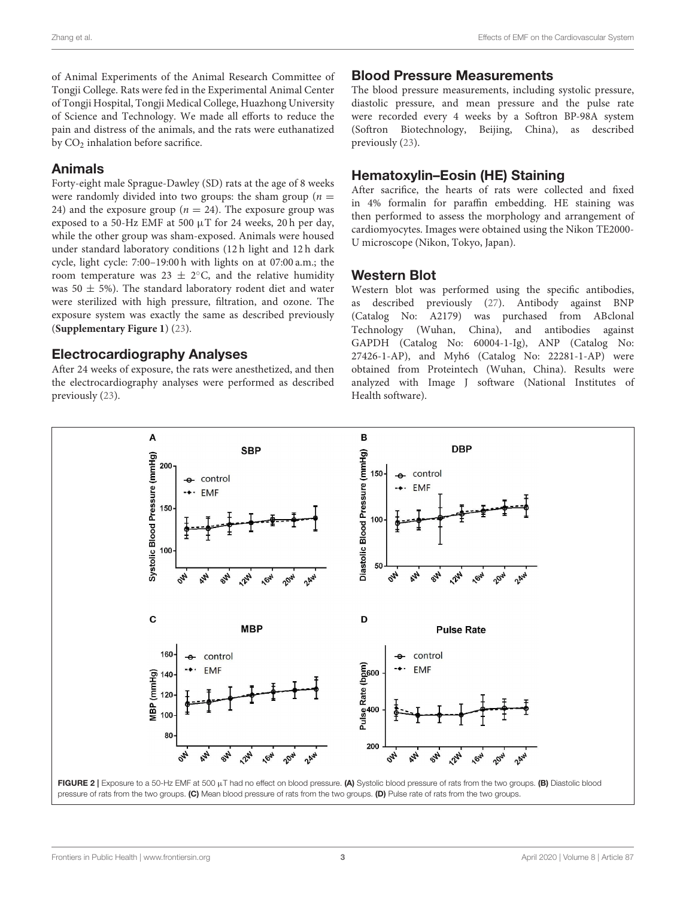of Animal Experiments of the Animal Research Committee of Tongji College. Rats were fed in the Experimental Animal Center of Tongji Hospital, Tongji Medical College, Huazhong University of Science and Technology. We made all efforts to reduce the pain and distress of the animals, and the rats were euthanatized by  $CO<sub>2</sub>$  inhalation before sacrifice.

# Animals

Forty-eight male Sprague-Dawley (SD) rats at the age of 8 weeks were randomly divided into two groups: the sham group ( $n =$ 24) and the exposure group ( $n = 24$ ). The exposure group was exposed to a 50-Hz EMF at 500  $\upmu$ T for 24 weeks, 20 h per day, while the other group was sham-exposed. Animals were housed under standard laboratory conditions (12 h light and 12 h dark cycle, light cycle: 7:00–19:00 h with lights on at 07:00 a.m.; the room temperature was  $23 \pm 2$ °C, and the relative humidity was 50  $\pm$  5%). The standard laboratory rodent diet and water were sterilized with high pressure, filtration, and ozone. The exposure system was exactly the same as described previously (**[Supplementary Figure 1](#page-7-11)**) [\(23\)](#page-8-10).

### Electrocardiography Analyses

After 24 weeks of exposure, the rats were anesthetized, and then the electrocardiography analyses were performed as described previously [\(23\)](#page-8-10).

#### Blood Pressure Measurements

The blood pressure measurements, including systolic pressure, diastolic pressure, and mean pressure and the pulse rate were recorded every 4 weeks by a Softron BP-98A system (Softron Biotechnology, Beijing, China), as described previously [\(23\)](#page-8-10).

# Hematoxylin–Eosin (HE) Staining

After sacrifice, the hearts of rats were collected and fixed in 4% formalin for paraffin embedding. HE staining was then performed to assess the morphology and arrangement of cardiomyocytes. Images were obtained using the Nikon TE2000- U microscope (Nikon, Tokyo, Japan).

### Western Blot

Western blot was performed using the specific antibodies, as described previously [\(27\)](#page-8-12). Antibody against BNP (Catalog No: A2179) was purchased from ABclonal Technology (Wuhan, China), and antibodies against GAPDH (Catalog No: 60004-1-Ig), ANP (Catalog No: 27426-1-AP), and Myh6 (Catalog No: 22281-1-AP) were obtained from Proteintech (Wuhan, China). Results were analyzed with Image J software (National Institutes of Health software).



<span id="page-2-0"></span>pressure of rats from the two groups. (C) Mean blood pressure of rats from the two groups. (D) Pulse rate of rats from the two groups.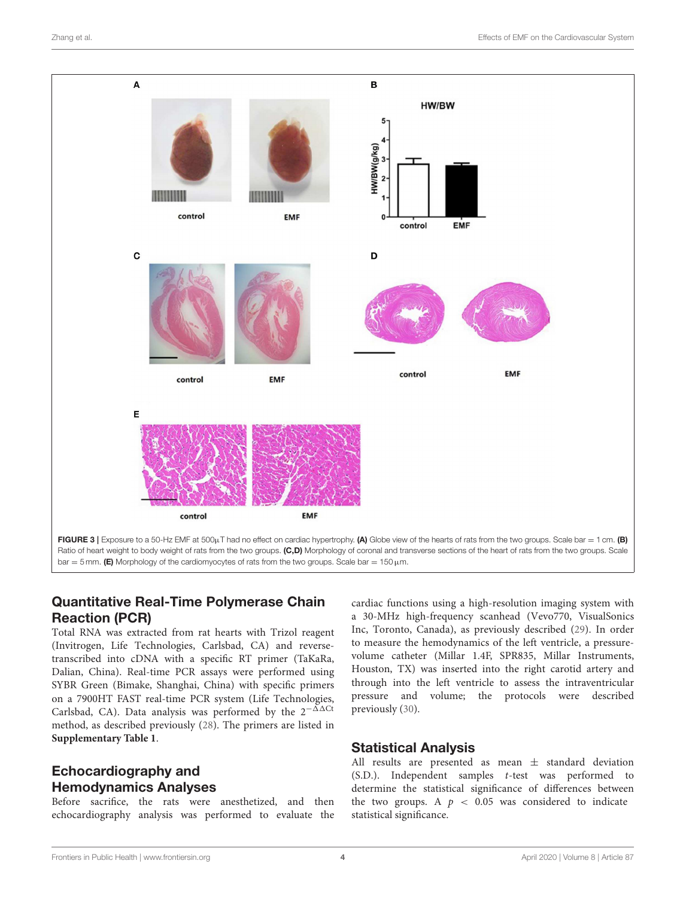

# <span id="page-3-0"></span>Quantitative Real-Time Polymerase Chain Reaction (PCR)

Total RNA was extracted from rat hearts with Trizol reagent (Invitrogen, Life Technologies, Carlsbad, CA) and reversetranscribed into cDNA with a specific RT primer (TaKaRa, Dalian, China). Real-time PCR assays were performed using SYBR Green (Bimake, Shanghai, China) with specific primers on a 7900HT FAST real-time PCR system (Life Technologies, Carlsbad, CA). Data analysis was performed by the  $2^{-\Delta\Delta Ct}$ method, as described previously [\(28\)](#page-8-13). The primers are listed in **[Supplementary Table 1](#page-7-11)**.

# Echocardiography and Hemodynamics Analyses

Before sacrifice, the rats were anesthetized, and then echocardiography analysis was performed to evaluate the cardiac functions using a high-resolution imaging system with a 30-MHz high-frequency scanhead (Vevo770, VisualSonics Inc, Toronto, Canada), as previously described [\(29\)](#page-8-14). In order to measure the hemodynamics of the left ventricle, a pressurevolume catheter (Millar 1.4F, SPR835, Millar Instruments, Houston, TX) was inserted into the right carotid artery and through into the left ventricle to assess the intraventricular pressure and volume; the protocols were described previously [\(30\)](#page-8-15).

### Statistical Analysis

All results are presented as mean  $\pm$  standard deviation (S.D.). Independent samples t-test was performed to determine the statistical significance of differences between the two groups. A  $p < 0.05$  was considered to indicate statistical significance.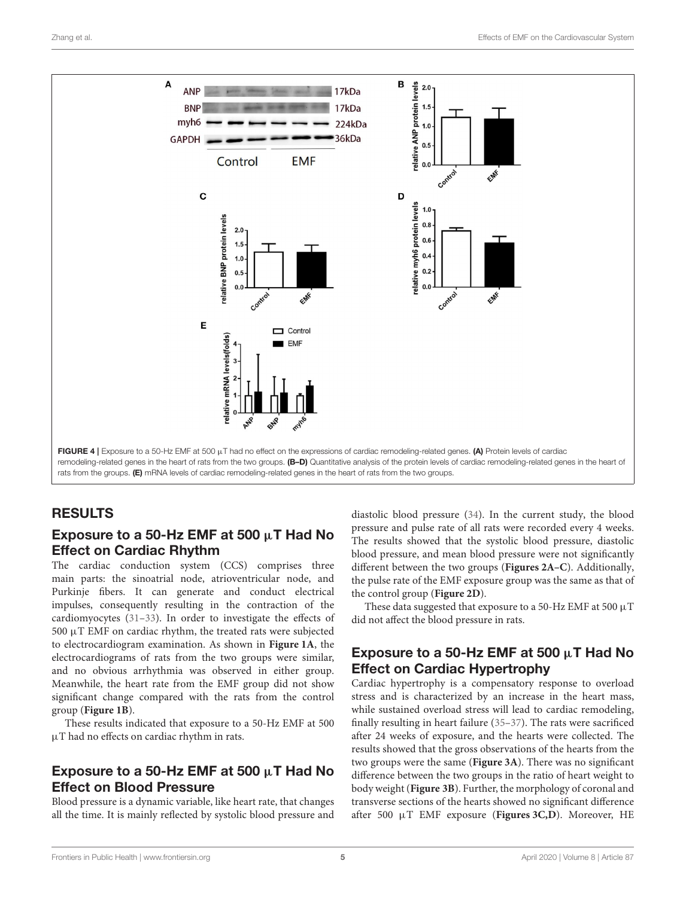

### <span id="page-4-0"></span>RESULTS

# Exposure to a 50-Hz EMF at 500  $\mu$ T Had No Effect on Cardiac Rhythm

The cardiac conduction system (CCS) comprises three main parts: the sinoatrial node, atrioventricular node, and Purkinje fibers. It can generate and conduct electrical impulses, consequently resulting in the contraction of the cardiomyocytes [\(31–](#page-8-16)[33\)](#page-8-17). In order to investigate the effects of  $500 \mu$ T EMF on cardiac rhythm, the treated rats were subjected to electrocardiogram examination. As shown in **[Figure 1A](#page-1-0)**, the electrocardiograms of rats from the two groups were similar, and no obvious arrhythmia was observed in either group. Meanwhile, the heart rate from the EMF group did not show significant change compared with the rats from the control group (**[Figure 1B](#page-1-0)**).

These results indicated that exposure to a 50-Hz EMF at 500 µT had no effects on cardiac rhythm in rats.

# Exposure to a 50-Hz EMF at 500  $\mu$ T Had No Effect on Blood Pressure

Blood pressure is a dynamic variable, like heart rate, that changes all the time. It is mainly reflected by systolic blood pressure and diastolic blood pressure [\(34\)](#page-8-18). In the current study, the blood pressure and pulse rate of all rats were recorded every 4 weeks. The results showed that the systolic blood pressure, diastolic blood pressure, and mean blood pressure were not significantly different between the two groups (**[Figures 2A–C](#page-2-0)**). Additionally, the pulse rate of the EMF exposure group was the same as that of the control group (**[Figure 2D](#page-2-0)**).

These data suggested that exposure to a 50-Hz EMF at 500  $\mu$ T did not affect the blood pressure in rats.

# Exposure to a 50-Hz EMF at 500  $\mu$ T Had No Effect on Cardiac Hypertrophy

Cardiac hypertrophy is a compensatory response to overload stress and is characterized by an increase in the heart mass, while sustained overload stress will lead to cardiac remodeling, finally resulting in heart failure [\(35](#page-8-19)[–37\)](#page-8-20). The rats were sacrificed after 24 weeks of exposure, and the hearts were collected. The results showed that the gross observations of the hearts from the two groups were the same (**[Figure 3A](#page-3-0)**). There was no significant difference between the two groups in the ratio of heart weight to body weight (**[Figure 3B](#page-3-0)**). Further, the morphology of coronal and transverse sections of the hearts showed no significant difference after 500 µT EMF exposure (**[Figures 3C,D](#page-3-0)**). Moreover, HE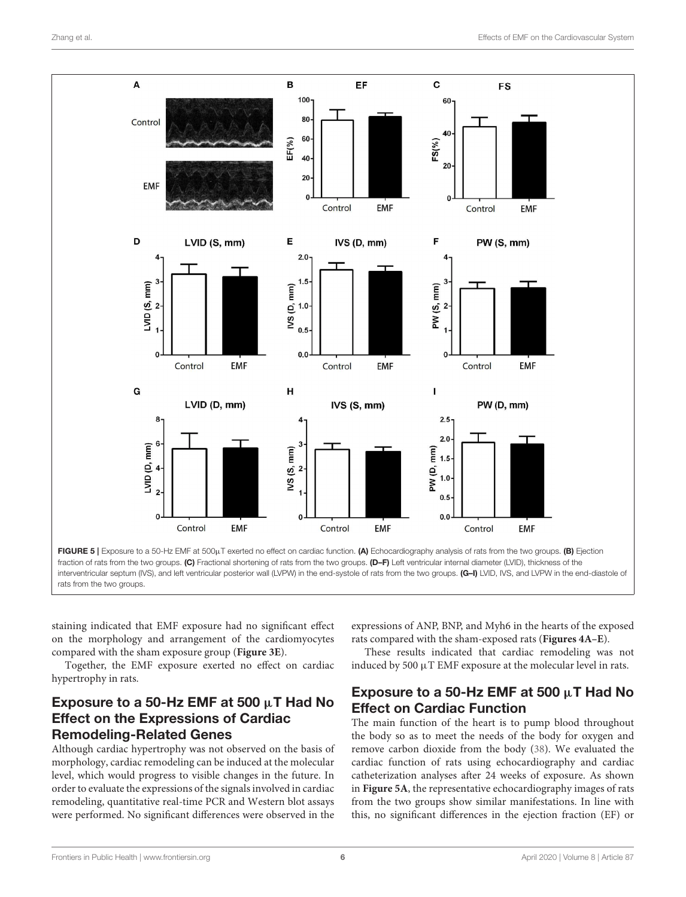

<span id="page-5-0"></span>staining indicated that EMF exposure had no significant effect on the morphology and arrangement of the cardiomyocytes compared with the sham exposure group (**[Figure 3E](#page-3-0)**).

Together, the EMF exposure exerted no effect on cardiac hypertrophy in rats.

# Exposure to a 50-Hz EMF at 500  $\mu$ T Had No Effect on the Expressions of Cardiac Remodeling-Related Genes

Although cardiac hypertrophy was not observed on the basis of morphology, cardiac remodeling can be induced at the molecular level, which would progress to visible changes in the future. In order to evaluate the expressions of the signals involved in cardiac remodeling, quantitative real-time PCR and Western blot assays were performed. No significant differences were observed in the

expressions of ANP, BNP, and Myh6 in the hearts of the exposed rats compared with the sham-exposed rats (**[Figures 4A–E](#page-4-0)**).

These results indicated that cardiac remodeling was not induced by 500 µT EMF exposure at the molecular level in rats.

# Exposure to a 50-Hz EMF at 500  $\mu$ T Had No Effect on Cardiac Function

The main function of the heart is to pump blood throughout the body so as to meet the needs of the body for oxygen and remove carbon dioxide from the body [\(38\)](#page-8-21). We evaluated the cardiac function of rats using echocardiography and cardiac catheterization analyses after 24 weeks of exposure. As shown in **[Figure 5A](#page-5-0)**, the representative echocardiography images of rats from the two groups show similar manifestations. In line with this, no significant differences in the ejection fraction (EF) or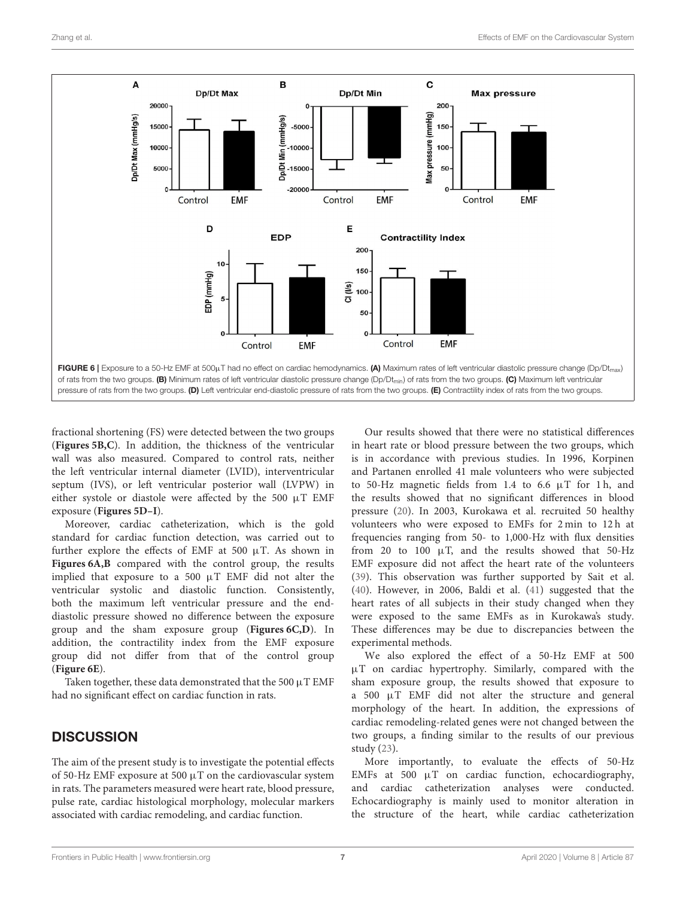

<span id="page-6-0"></span>fractional shortening (FS) were detected between the two groups (**[Figures 5B,C](#page-5-0)**). In addition, the thickness of the ventricular wall was also measured. Compared to control rats, neither the left ventricular internal diameter (LVID), interventricular septum (IVS), or left ventricular posterior wall (LVPW) in either systole or diastole were affected by the 500 µT EMF exposure (**[Figures 5D–I](#page-5-0)**).

Moreover, cardiac catheterization, which is the gold standard for cardiac function detection, was carried out to further explore the effects of EMF at 500  $\mu$ T. As shown in **[Figures 6A,B](#page-6-0)** compared with the control group, the results implied that exposure to a 500 µT EMF did not alter the ventricular systolic and diastolic function. Consistently, both the maximum left ventricular pressure and the enddiastolic pressure showed no difference between the exposure group and the sham exposure group (**[Figures 6C,D](#page-6-0)**). In addition, the contractility index from the EMF exposure group did not differ from that of the control group (**[Figure 6E](#page-6-0)**).

Taken together, these data demonstrated that the 500  $\mu$ T EMF had no significant effect on cardiac function in rats.

# **DISCUSSION**

The aim of the present study is to investigate the potential effects of 50-Hz EMF exposure at 500  $\mu$ T on the cardiovascular system in rats. The parameters measured were heart rate, blood pressure, pulse rate, cardiac histological morphology, molecular markers associated with cardiac remodeling, and cardiac function.

Our results showed that there were no statistical differences in heart rate or blood pressure between the two groups, which is in accordance with previous studies. In 1996, Korpinen and Partanen enrolled 41 male volunteers who were subjected to 50-Hz magnetic fields from 1.4 to 6.6  $\mu$ T for 1h, and the results showed that no significant differences in blood pressure [\(20\)](#page-8-7). In 2003, Kurokawa et al. recruited 50 healthy volunteers who were exposed to EMFs for 2 min to 12 h at frequencies ranging from 50- to 1,000-Hz with flux densities from 20 to 100  $\mu$ T, and the results showed that 50-Hz EMF exposure did not affect the heart rate of the volunteers [\(39\)](#page-8-22). This observation was further supported by Sait et al. [\(40\)](#page-8-23). However, in 2006, Baldi et al. [\(41\)](#page-8-24) suggested that the heart rates of all subjects in their study changed when they were exposed to the same EMFs as in Kurokawa's study. These differences may be due to discrepancies between the experimental methods.

We also explored the effect of a 50-Hz EMF at 500 µT on cardiac hypertrophy. Similarly, compared with the sham exposure group, the results showed that exposure to a 500 µT EMF did not alter the structure and general morphology of the heart. In addition, the expressions of cardiac remodeling-related genes were not changed between the two groups, a finding similar to the results of our previous study [\(23\)](#page-8-10).

More importantly, to evaluate the effects of 50-Hz EMFs at 500  $\mu$ T on cardiac function, echocardiography, and cardiac catheterization analyses were conducted. Echocardiography is mainly used to monitor alteration in the structure of the heart, while cardiac catheterization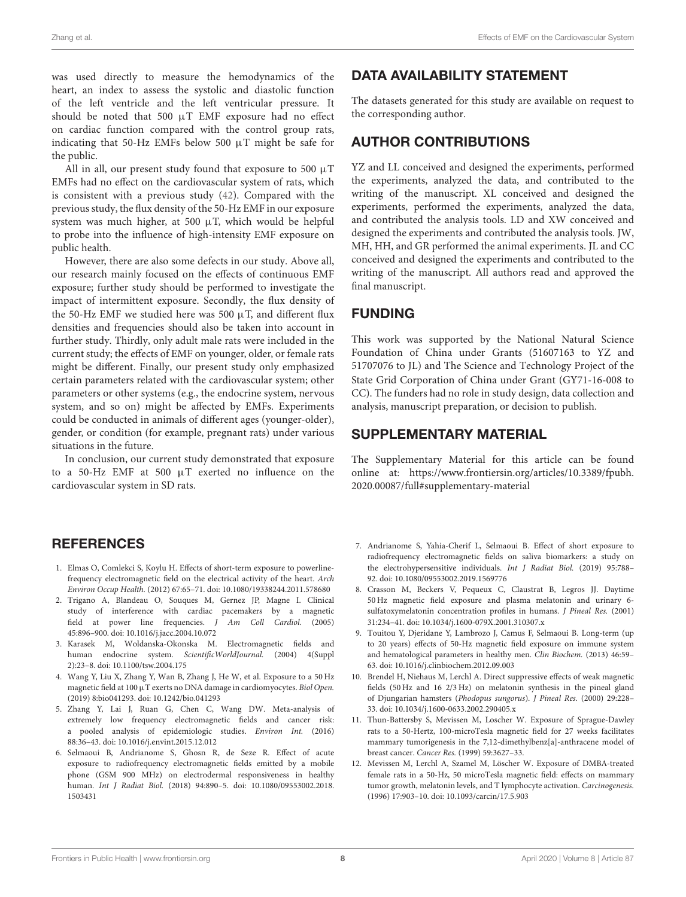was used directly to measure the hemodynamics of the heart, an index to assess the systolic and diastolic function of the left ventricle and the left ventricular pressure. It should be noted that 500  $\mu$ T EMF exposure had no effect on cardiac function compared with the control group rats, indicating that 50-Hz EMFs below 500 µT might be safe for the public.

All in all, our present study found that exposure to 500  $\mu$ T EMFs had no effect on the cardiovascular system of rats, which is consistent with a previous study [\(42\)](#page-8-25). Compared with the previous study, the flux density of the 50-Hz EMF in our exposure system was much higher, at 500  $\mu$ T, which would be helpful to probe into the influence of high-intensity EMF exposure on public health.

However, there are also some defects in our study. Above all, our research mainly focused on the effects of continuous EMF exposure; further study should be performed to investigate the impact of intermittent exposure. Secondly, the flux density of the 50-Hz EMF we studied here was 500  $\mu$ T, and different flux densities and frequencies should also be taken into account in further study. Thirdly, only adult male rats were included in the current study; the effects of EMF on younger, older, or female rats might be different. Finally, our present study only emphasized certain parameters related with the cardiovascular system; other parameters or other systems (e.g., the endocrine system, nervous system, and so on) might be affected by EMFs. Experiments could be conducted in animals of different ages (younger-older), gender, or condition (for example, pregnant rats) under various situations in the future.

In conclusion, our current study demonstrated that exposure to a 50-Hz EMF at 500 µT exerted no influence on the cardiovascular system in SD rats.

# **REFERENCES**

- <span id="page-7-0"></span>1. Elmas O, Comlekci S, Koylu H. Effects of short-term exposure to powerlinefrequency electromagnetic field on the electrical activity of the heart. Arch Environ Occup Health. (2012) 67:65–71. doi: [10.1080/19338244.2011.578680](https://doi.org/10.1080/19338244.2011.578680)
- <span id="page-7-1"></span>2. Trigano A, Blandeau O, Souques M, Gernez JP, Magne I. Clinical study of interference with cardiac pacemakers by a magnetic field at power line frequencies. J Am Coll Cardiol. (2005) 45:896–900. doi: [10.1016/j.jacc.2004.10.072](https://doi.org/10.1016/j.jacc.2004.10.072)
- <span id="page-7-2"></span>3. Karasek M, Woldanska-Okonska M. Electromagnetic fields and human endocrine system. ScientificWorldJournal. (2004) 4(Suppl 2):23–8. doi: [10.1100/tsw.2004.175](https://doi.org/10.1100/tsw.2004.175)
- <span id="page-7-3"></span>4. Wang Y, Liu X, Zhang Y, Wan B, Zhang J, He W, et al. Exposure to a 50 Hz magnetic field at 100  $\mu$ T exerts no DNA damage in cardiomyocytes. Biol Open. (2019) 8:bio041293. doi: [10.1242/bio.041293](https://doi.org/10.1242/bio.041293)
- <span id="page-7-4"></span>5. Zhang Y, Lai J, Ruan G, Chen C, Wang DW. Meta-analysis of extremely low frequency electromagnetic fields and cancer risk: a pooled analysis of epidemiologic studies. Environ Int. (2016) 88:36–43. doi: [10.1016/j.envint.2015.12.012](https://doi.org/10.1016/j.envint.2015.12.012)
- 6. Selmaoui B, Andrianome S, Ghosn R, de Seze R. Effect of acute exposure to radiofrequency electromagnetic fields emitted by a mobile phone (GSM 900 MHz) on electrodermal responsiveness in healthy human. Int J Radiat Biol. [\(2018\) 94:890–5. doi: 10.1080/09553002.2018.](https://doi.org/10.1080/09553002.2018.1503431) 1503431

# DATA AVAILABILITY STATEMENT

The datasets generated for this study are available on request to the corresponding author.

### AUTHOR CONTRIBUTIONS

YZ and LL conceived and designed the experiments, performed the experiments, analyzed the data, and contributed to the writing of the manuscript. XL conceived and designed the experiments, performed the experiments, analyzed the data, and contributed the analysis tools. LD and XW conceived and designed the experiments and contributed the analysis tools. JW, MH, HH, and GR performed the animal experiments. JL and CC conceived and designed the experiments and contributed to the writing of the manuscript. All authors read and approved the final manuscript.

### FUNDING

This work was supported by the National Natural Science Foundation of China under Grants (51607163 to YZ and 51707076 to JL) and The Science and Technology Project of the State Grid Corporation of China under Grant (GY71-16-008 to CC). The funders had no role in study design, data collection and analysis, manuscript preparation, or decision to publish.

# SUPPLEMENTARY MATERIAL

<span id="page-7-11"></span>The Supplementary Material for this article can be found [online at: https://www.frontiersin.org/articles/10.3389/fpubh.](https://www.frontiersin.org/articles/10.3389/fpubh.2020.00087/full#supplementary-material) 2020.00087/full#supplementary-material

- <span id="page-7-5"></span>7. Andrianome S, Yahia-Cherif L, Selmaoui B. Effect of short exposure to radiofrequency electromagnetic fields on saliva biomarkers: a study on the electrohypersensitive individuals. Int J Radiat Biol. (2019) 95:788– 92. doi: [10.1080/09553002.2019.1569776](https://doi.org/10.1080/09553002.2019.1569776)
- <span id="page-7-6"></span>8. Crasson M, Beckers V, Pequeux C, Claustrat B, Legros JJ. Daytime 50 Hz magnetic field exposure and plasma melatonin and urinary 6 sulfatoxymelatonin concentration profiles in humans. J Pineal Res. (2001) 31:234–41. doi: [10.1034/j.1600-079X.2001.310307.x](https://doi.org/10.1034/j.1600-079X.2001.310307.x)
- <span id="page-7-7"></span>9. Touitou Y, Djeridane Y, Lambrozo J, Camus F, Selmaoui B. Long-term (up to 20 years) effects of 50-Hz magnetic field exposure on immune system and hematological parameters in healthy men. Clin Biochem. (2013) 46:59– 63. doi: [10.1016/j.clinbiochem.2012.09.003](https://doi.org/10.1016/j.clinbiochem.2012.09.003)
- <span id="page-7-8"></span>10. Brendel H, Niehaus M, Lerchl A. Direct suppressive effects of weak magnetic fields (50 Hz and 16 2/3 Hz) on melatonin synthesis in the pineal gland of Djungarian hamsters (Phodopus sungorus). J Pineal Res. (2000) 29:228– 33. doi: [10.1034/j.1600-0633.2002.290405.x](https://doi.org/10.1034/j.1600-0633.2002.290405.x)
- <span id="page-7-9"></span>11. Thun-Battersby S, Mevissen M, Loscher W. Exposure of Sprague-Dawley rats to a 50-Hertz, 100-microTesla magnetic field for 27 weeks facilitates mammary tumorigenesis in the 7,12-dimethylbenz[a]-anthracene model of breast cancer. Cancer Res. (1999) 59:3627–33.
- <span id="page-7-10"></span>12. Mevissen M, Lerchl A, Szamel M, Löscher W. Exposure of DMBA-treated female rats in a 50-Hz, 50 microTesla magnetic field: effects on mammary tumor growth, melatonin levels, and T lymphocyte activation. Carcinogenesis. (1996) 17:903–10. doi: [10.1093/carcin/17.5.903](https://doi.org/10.1093/carcin/17.5.903)